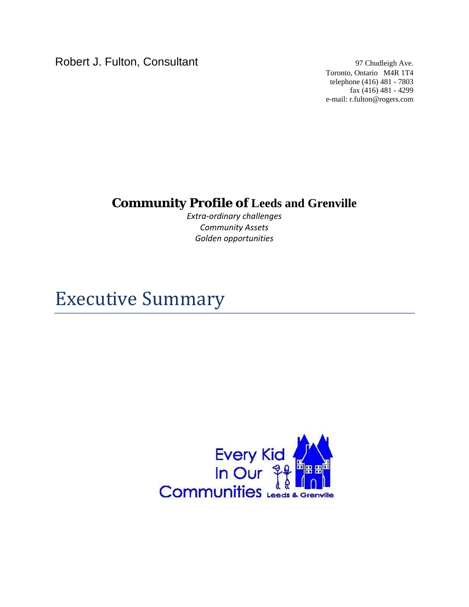Robert J. Fulton, Consultant 97 Chudleigh Ave.

Toronto, Ontario M4R 1T4 telephone (416) 481 - 7803 fax (416) 481 - 4299 e-mail: r.fulton@rogers.com

## **Community Profile of Leeds and Grenville**

*Extra‐ordinary challenges Community Assets Golden opportunities*

## Executive Summary

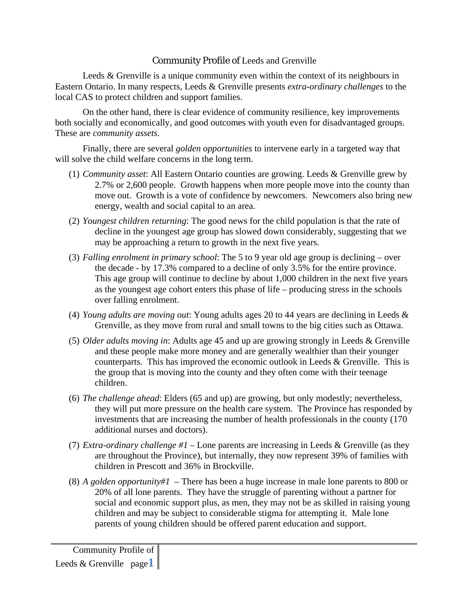## Community Profile of Leeds and Grenville

Leeds & Grenville is a unique community even within the context of its neighbours in Eastern Ontario. In many respects, Leeds & Grenville presents *extra-ordinary challenges* to the local CAS to protect children and support families.

On the other hand, there is clear evidence of community resilience, key improvements both socially and economically, and good outcomes with youth even for disadvantaged groups. These are *community assets*.

Finally, there are several *golden opportunities* to intervene early in a targeted way that will solve the child welfare concerns in the long term.

- (1) *Community asset*: All Eastern Ontario counties are growing. Leeds & Grenville grew by 2.7% or 2,600 people. Growth happens when more people move into the county than move out. Growth is a vote of confidence by newcomers. Newcomers also bring new energy, wealth and social capital to an area.
- (2) *Youngest children returning*: The good news for the child population is that the rate of decline in the youngest age group has slowed down considerably, suggesting that we may be approaching a return to growth in the next five years.
- (3) *Falling enrolment in primary school*: The 5 to 9 year old age group is declining over the decade - by 17.3% compared to a decline of only 3.5% for the entire province. This age group will continue to decline by about 1,000 children in the next five years as the youngest age cohort enters this phase of life – producing stress in the schools over falling enrolment.
- (4) *Young adults are moving out*: Young adults ages 20 to 44 years are declining in Leeds & Grenville, as they move from rural and small towns to the big cities such as Ottawa.
- (5) *Older adults moving in*: Adults age 45 and up are growing strongly in Leeds & Grenville and these people make more money and are generally wealthier than their younger counterparts. This has improved the economic outlook in Leeds & Grenville. This is the group that is moving into the county and they often come with their teenage children.
- (6) *The challenge ahead*: Elders (65 and up) are growing, but only modestly; nevertheless, they will put more pressure on the health care system. The Province has responded by investments that are increasing the number of health professionals in the county (170 additional nurses and doctors).
- (7) *Extra-ordinary challenge #1*  Lone parents are increasing in Leeds & Grenville (as they are throughout the Province), but internally, they now represent 39% of families with children in Prescott and 36% in Brockville.
- (8) *A golden opportunity#1 –* There has been a huge increase in male lone parents to 800 or 20% of all lone parents. They have the struggle of parenting without a partner for social and economic support plus, as men, they may not be as skilled in raising young children and may be subject to considerable stigma for attempting it. Male lone parents of young children should be offered parent education and support.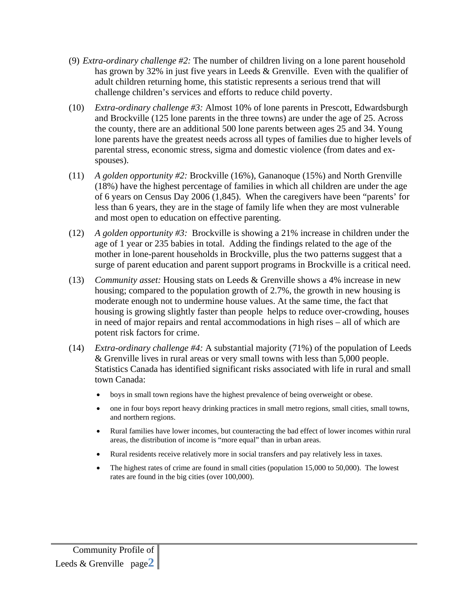- (9) *Extra-ordinary challenge #2:* The number of children living on a lone parent household has grown by 32% in just five years in Leeds & Grenville. Even with the qualifier of adult children returning home, this statistic represents a serious trend that will challenge children's services and efforts to reduce child poverty.
- (10) *Extra-ordinary challenge #3:* Almost 10% of lone parents in Prescott, Edwardsburgh and Brockville (125 lone parents in the three towns) are under the age of 25. Across the county, there are an additional 500 lone parents between ages 25 and 34. Young lone parents have the greatest needs across all types of families due to higher levels of parental stress, economic stress, sigma and domestic violence (from dates and exspouses).
- (11) *A golden opportunity #2:* Brockville (16%), Gananoque (15%) and North Grenville (18%) have the highest percentage of families in which all children are under the age of 6 years on Census Day 2006 (1,845). When the caregivers have been "parents' for less than 6 years, they are in the stage of family life when they are most vulnerable and most open to education on effective parenting.
- (12) *A golden opportunity #3:* Brockville is showing a 21% increase in children under the age of 1 year or 235 babies in total. Adding the findings related to the age of the mother in lone-parent households in Brockville, plus the two patterns suggest that a surge of parent education and parent support programs in Brockville is a critical need.
- (13) *Community asset:* Housing stats on Leeds & Grenville shows a 4% increase in new housing; compared to the population growth of 2.7%, the growth in new housing is moderate enough not to undermine house values. At the same time, the fact that housing is growing slightly faster than people helps to reduce over-crowding, houses in need of major repairs and rental accommodations in high rises – all of which are potent risk factors for crime.
- (14) *Extra-ordinary challenge #4:* A substantial majority (71%) of the population of Leeds & Grenville lives in rural areas or very small towns with less than 5,000 people. Statistics Canada has identified significant risks associated with life in rural and small town Canada:
	- boys in small town regions have the highest prevalence of being overweight or obese.
	- one in four boys report heavy drinking practices in small metro regions, small cities, small towns, and northern regions.
	- Rural families have lower incomes, but counteracting the bad effect of lower incomes within rural areas, the distribution of income is "more equal" than in urban areas.
	- Rural residents receive relatively more in social transfers and pay relatively less in taxes.
	- The highest rates of crime are found in small cities (population 15,000 to 50,000). The lowest rates are found in the big cities (over 100,000).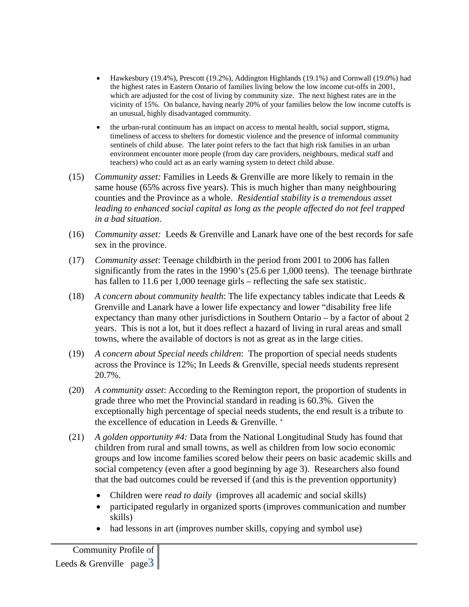- Hawkesbury (19.4%), Prescott (19.2%), Addington Highlands (19.1%) and Cornwall (19.0%) had the highest rates in Eastern Ontario of families living below the low income cut-offs in 2001, which are adjusted for the cost of living by community size. The next highest rates are in the vicinity of 15%. On balance, having nearly 20% of your families below the low income cutoffs is an unusual, highly disadvantaged community.
- the urban-rural continuum has an impact on access to mental health, social support, stigma, timeliness of access to shelters for domestic violence and the presence of informal community sentinels of child abuse. The later point refers to the fact that high risk families in an urban environment encounter more people (from day care providers, neighbours, medical staff and teachers) who could act as an early warning system to detect child abuse.
- (15) *Community asset:* Families in Leeds & Grenville are more likely to remain in the same house (65% across five years). This is much higher than many neighbouring counties and the Province as a whole. *Residential stability is a tremendous asset leading to enhanced social capital as long as the people affected do not feel trapped in a bad situation*.
- (16) *Community asset:* Leeds & Grenville and Lanark have one of the best records for safe sex in the province.
- (17) *Community asset*: Teenage childbirth in the period from 2001 to 2006 has fallen significantly from the rates in the 1990's (25.6 per 1,000 teens). The teenage birthrate has fallen to 11.6 per 1,000 teenage girls – reflecting the safe sex statistic.
- (18) *A concern about community health*: The life expectancy tables indicate that Leeds & Grenville and Lanark have a lower life expectancy and lower "disability free life expectancy than many other jurisdictions in Southern Ontario – by a factor of about 2 years. This is not a lot, but it does reflect a hazard of living in rural areas and small towns, where the available of doctors is not as great as in the large cities.
- (19) *A concern about Special needs children*: The proportion of special needs students across the Province is 12%; In Leeds & Grenville, special needs students represent 20.7%.
- (20) *A community asset*: According to the Remington report, the proportion of students in grade three who met the Provincial standard in reading is 60.3%. Given the exceptionally high percentage of special needs students, the end result is a tribute to the excellence of education in Leeds & Grenville. '
- (21) *A golden opportunity #4:* Data from the National Longitudinal Study has found that children from rural and small towns, as well as children from low socio economic groups and low income families scored below their peers on basic academic skills and social competency (even after a good beginning by age 3). Researchers also found that the bad outcomes could be reversed if (and this is the prevention opportunity)
	- Children were *read to daily* (improves all academic and social skills)
	- participated regularly in organized sports (improves communication and number skills)
	- had lessons in art (improves number skills, copying and symbol use)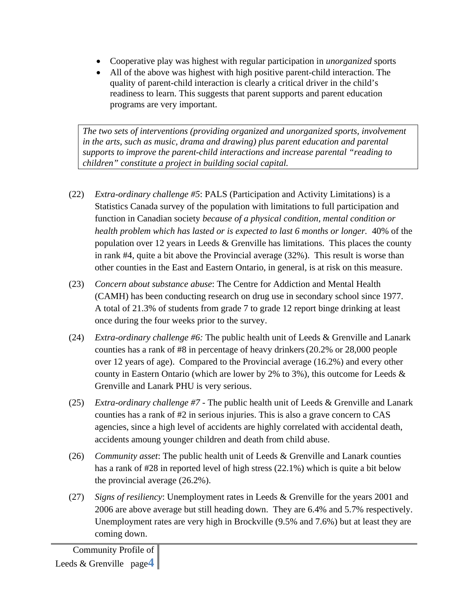- Cooperative play was highest with regular participation in *unorganized* sports
- All of the above was highest with high positive parent-child interaction. The quality of parent-child interaction is clearly a critical driver in the child's readiness to learn. This suggests that parent supports and parent education programs are very important.

*The two sets of interventions (providing organized and unorganized sports, involvement in the arts, such as music, drama and drawing) plus parent education and parental supports to improve the parent-child interactions and increase parental "reading to children" constitute a project in building social capital.* 

- (22) *Extra-ordinary challenge #5*: PALS (Participation and Activity Limitations) is a Statistics Canada survey of the population with limitations to full participation and function in Canadian society *because of a physical condition, mental condition or health problem which has lasted or is expected to last 6 months or longer.* 40% of the population over 12 years in Leeds & Grenville has limitations. This places the county in rank #4, quite a bit above the Provincial average (32%). This result is worse than other counties in the East and Eastern Ontario, in general, is at risk on this measure.
- (23) *Concern about substance abuse*: The Centre for Addiction and Mental Health (CAMH) has been conducting research on drug use in secondary school since 1977. A total of 21.3% of students from grade 7 to grade 12 report binge drinking at least once during the four weeks prior to the survey.
- (24) *Extra-ordinary challenge #6:* The public health unit of Leeds & Grenville and Lanark counties has a rank of #8 in percentage of heavy drinkers(20.2% or 28,000 people over 12 years of age). Compared to the Provincial average (16.2%) and every other county in Eastern Ontario (which are lower by 2% to 3%), this outcome for Leeds  $\&$ Grenville and Lanark PHU is very serious.
- (25) *Extra-ordinary challenge #7* The public health unit of Leeds & Grenville and Lanark counties has a rank of #2 in serious injuries. This is also a grave concern to CAS agencies, since a high level of accidents are highly correlated with accidental death, accidents amoung younger children and death from child abuse.
- (26) *Community asset*: The public health unit of Leeds & Grenville and Lanark counties has a rank of #28 in reported level of high stress (22.1%) which is quite a bit below the provincial average (26.2%).
- (27) *Signs of resiliency*: Unemployment rates in Leeds & Grenville for the years 2001 and 2006 are above average but still heading down. They are 6.4% and 5.7% respectively. Unemployment rates are very high in Brockville (9.5% and 7.6%) but at least they are coming down.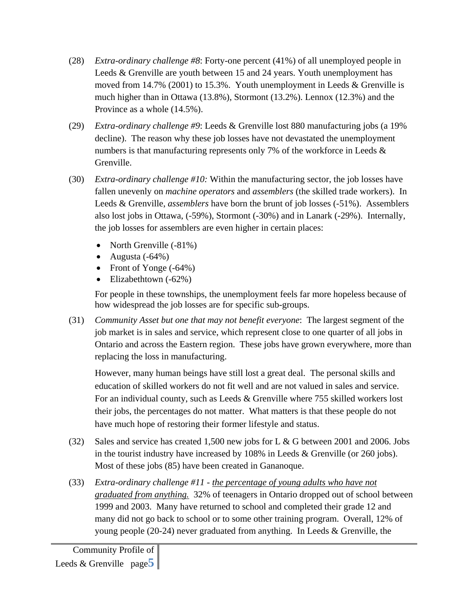- (28) *Extra-ordinary challenge #8*: Forty-one percent (41%) of all unemployed people in Leeds & Grenville are youth between 15 and 24 years. Youth unemployment has moved from 14.7% (2001) to 15.3%. Youth unemployment in Leeds & Grenville is much higher than in Ottawa (13.8%), Stormont (13.2%). Lennox (12.3%) and the Province as a whole (14.5%).
- (29) *Extra-ordinary challenge #9*: Leeds & Grenville lost 880 manufacturing jobs (a 19% decline). The reason why these job losses have not devastated the unemployment numbers is that manufacturing represents only 7% of the workforce in Leeds  $\&$ Grenville.
- (30) *Extra-ordinary challenge #10:* Within the manufacturing sector, the job losses have fallen unevenly on *machine operators* and *assemblers* (the skilled trade workers). In Leeds & Grenville, *assemblers* have born the brunt of job losses (-51%). Assemblers also lost jobs in Ottawa, (-59%), Stormont (-30%) and in Lanark (-29%). Internally, the job losses for assemblers are even higher in certain places:
	- North Grenville (-81%)
	- Augusta  $(-64%)$
	- Front of Yonge (-64%)
	- Elizabethtown (-62%)

For people in these townships, the unemployment feels far more hopeless because of how widespread the job losses are for specific sub-groups.

(31) *Community Asset but one that may not benefit everyone*: The largest segment of the job market is in sales and service, which represent close to one quarter of all jobs in Ontario and across the Eastern region. These jobs have grown everywhere, more than replacing the loss in manufacturing.

However, many human beings have still lost a great deal. The personal skills and education of skilled workers do not fit well and are not valued in sales and service. For an individual county, such as Leeds & Grenville where 755 skilled workers lost their jobs, the percentages do not matter. What matters is that these people do not have much hope of restoring their former lifestyle and status.

- (32) Sales and service has created 1,500 new jobs for L & G between 2001 and 2006. Jobs in the tourist industry have increased by 108% in Leeds & Grenville (or 260 jobs). Most of these jobs (85) have been created in Gananoque.
- (33) *Extra-ordinary challenge #11 the percentage of young adults who have not graduated from anything.* 32% of teenagers in Ontario dropped out of school between 1999 and 2003. Many have returned to school and completed their grade 12 and many did not go back to school or to some other training program. Overall, 12% of young people (20-24) never graduated from anything. In Leeds & Grenville, the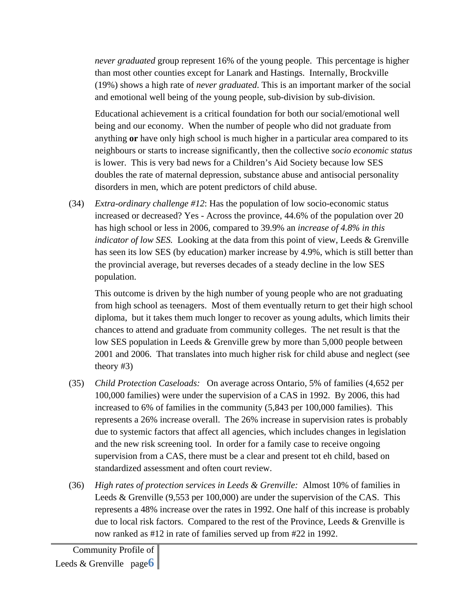*never graduated* group represent 16% of the young people. This percentage is higher than most other counties except for Lanark and Hastings. Internally, Brockville (19%) shows a high rate of *never graduated*. This is an important marker of the social and emotional well being of the young people, sub-division by sub-division.

Educational achievement is a critical foundation for both our social/emotional well being and our economy. When the number of people who did not graduate from anything **or** have only high school is much higher in a particular area compared to its neighbours or starts to increase significantly, then the collective *socio economic status* is lower. This is very bad news for a Children's Aid Society because low SES doubles the rate of maternal depression, substance abuse and antisocial personality disorders in men, which are potent predictors of child abuse.

(34) *Extra-ordinary challenge #12*: Has the population of low socio-economic status increased or decreased? Yes - Across the province, 44.6% of the population over 20 has high school or less in 2006, compared to 39.9% an *increase of 4.8% in this indicator of low SES.* Looking at the data from this point of view, Leeds & Grenville has seen its low SES (by education) marker increase by 4.9%, which is still better than the provincial average, but reverses decades of a steady decline in the low SES population.

This outcome is driven by the high number of young people who are not graduating from high school as teenagers. Most of them eventually return to get their high school diploma, but it takes them much longer to recover as young adults, which limits their chances to attend and graduate from community colleges. The net result is that the low SES population in Leeds & Grenville grew by more than 5,000 people between 2001 and 2006. That translates into much higher risk for child abuse and neglect (see theory #3)

- (35) *Child Protection Caseloads:* On average across Ontario, 5% of families (4,652 per 100,000 families) were under the supervision of a CAS in 1992. By 2006, this had increased to 6% of families in the community (5,843 per 100,000 families). This represents a 26% increase overall. The 26% increase in supervision rates is probably due to systemic factors that affect all agencies, which includes changes in legislation and the new risk screening tool. In order for a family case to receive ongoing supervision from a CAS, there must be a clear and present tot eh child, based on standardized assessment and often court review.
- (36) *High rates of protection services in Leeds & Grenville:* Almost 10% of families in Leeds & Grenville (9,553 per 100,000) are under the supervision of the CAS. This represents a 48% increase over the rates in 1992. One half of this increase is probably due to local risk factors. Compared to the rest of the Province, Leeds & Grenville is now ranked as #12 in rate of families served up from #22 in 1992.